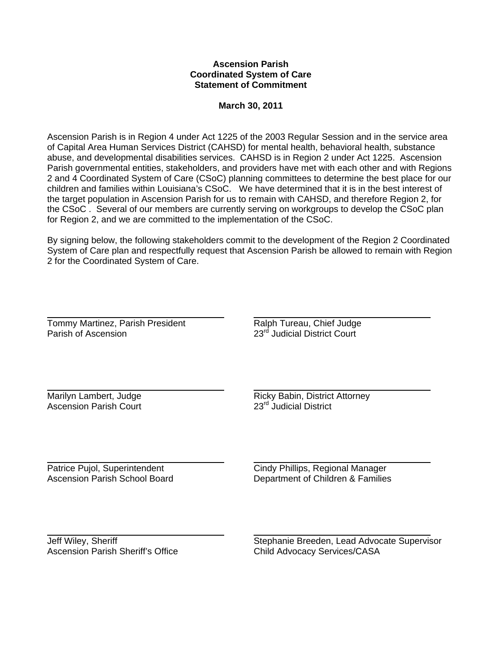## **Ascension Parish Coordinated System of Care Statement of Commitment**

## **March 30, 2011**

Ascension Parish is in Region 4 under Act 1225 of the 2003 Regular Session and in the service area of Capital Area Human Services District (CAHSD) for mental health, behavioral health, substance abuse, and developmental disabilities services. CAHSD is in Region 2 under Act 1225. Ascension Parish governmental entities, stakeholders, and providers have met with each other and with Regions 2 and 4 Coordinated System of Care (CSoC) planning committees to determine the best place for our children and families within Louisiana's CSoC. We have determined that it is in the best interest of the target population in Ascension Parish for us to remain with CAHSD, and therefore Region 2, for the CSoC . Several of our members are currently serving on workgroups to develop the CSoC plan for Region 2, and we are committed to the implementation of the CSoC.

By signing below, the following stakeholders commit to the development of the Region 2 Coordinated System of Care plan and respectfully request that Ascension Parish be allowed to remain with Region 2 for the Coordinated System of Care.

Tommy Martinez, Parish President **Ralph Tureau, Chief Judge** Parish of Ascension 23<sup>rd</sup> Judicial District Court

 Ascension Parish Court

Marilyn Lambert, Judge<br>
Ascension Parish Court
Ascension Parish Court

Ascension Parish Court

Ascension Parish Court

Ascension Parish Court

Ascension

Ascension

Ascension

Ascension

Ascension

Ascension

Ascension

As

Patrice Pujol, Superintendent Cindy Phillips, Regional Manager Ascension Parish School Board Department of Children & Families

Jeff Wiley, Sheriff Stephanie Breeden, Lead Advocate Supervisor<br>
Ascension Parish Sheriff's Office Stephanie Breeden, Lead Advocate Supervisor Child Advocacy Services/CASA